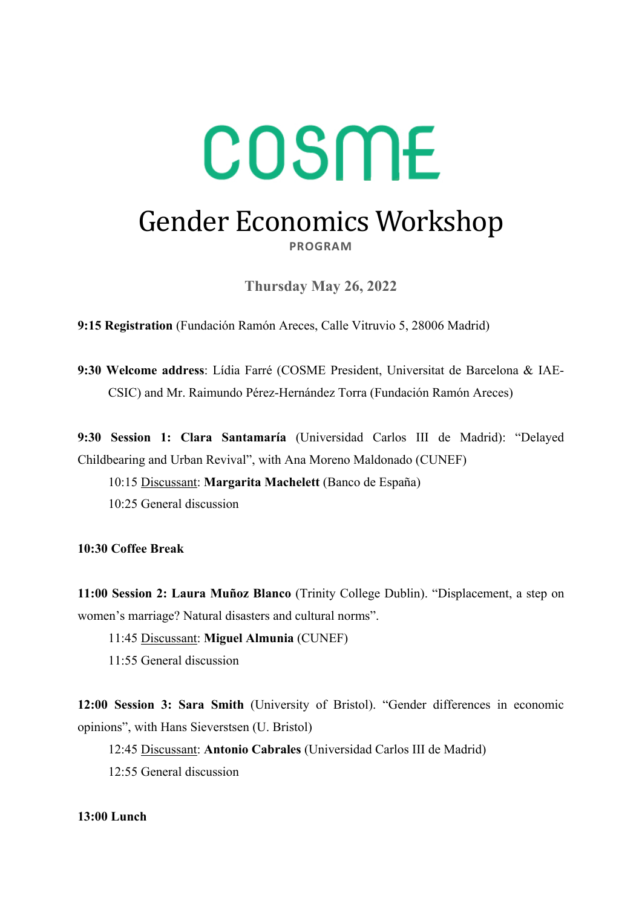# COSME Gender Economics Workshop **PROGRAM**

**Thursday May 26, 2022** 

**9:15 Registration** (Fundación Ramón Areces, Calle Vitruvio 5, 28006 Madrid)

**9:30 Welcome address**: Lídia Farré (COSME President, Universitat de Barcelona & IAE-CSIC) and Mr. Raimundo Pérez-Hernández Torra (Fundación Ramón Areces)

**9:30 Session 1: Clara Santamaría** (Universidad Carlos III de Madrid): "Delayed Childbearing and Urban Revival", with Ana Moreno Maldonado (CUNEF)

10:15 Discussant: **Margarita Machelett** (Banco de España)

10:25 General discussion

**10:30 Coffee Break** 

**11:00 Session 2: Laura Muñoz Blanco** (Trinity College Dublin). "Displacement, a step on women's marriage? Natural disasters and cultural norms".

11:45 Discussant: **Miguel Almunia** (CUNEF)

11:55 General discussion

**12:00 Session 3: Sara Smith** (University of Bristol). "Gender differences in economic opinions", with Hans Sieverstsen (U. Bristol)

12:45 Discussant: **Antonio Cabrales** (Universidad Carlos III de Madrid)

12:55 General discussion

#### **13:00 Lunch**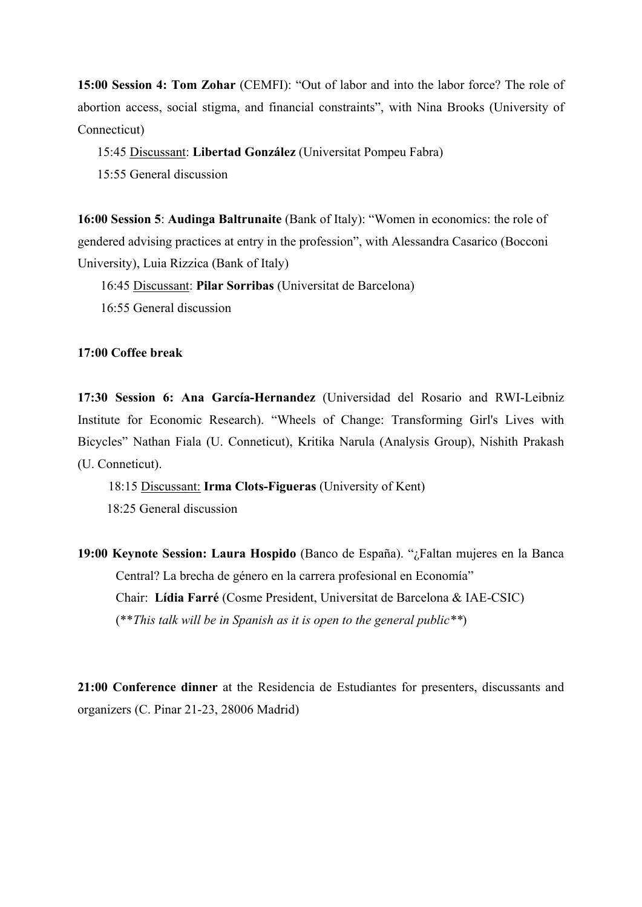**15:00 Session 4: Tom Zohar** (CEMFI): "Out of labor and into the labor force? The role of abortion access, social stigma, and financial constraints", with Nina Brooks (University of Connecticut)

15:45 Discussant: **Libertad González** (Universitat Pompeu Fabra)

15:55 General discussion

**16:00 Session 5**: **Audinga Baltrunaite** (Bank of Italy): "Women in economics: the role of gendered advising practices at entry in the profession", with Alessandra Casarico (Bocconi University), Luia Rizzica (Bank of Italy)

16:45 Discussant: **Pilar Sorribas** (Universitat de Barcelona)

16:55 General discussion

**17:00 Coffee break** 

**17:30 Session 6: Ana García-Hernandez** (Universidad del Rosario and RWI-Leibniz Institute for Economic Research). "Wheels of Change: Transforming Girl's Lives with Bicycles" Nathan Fiala (U. Conneticut), Kritika Narula (Analysis Group), Nishith Prakash (U. Conneticut).

18:15 Discussant: **Irma Clots-Figueras** (University of Kent) 18:25 General discussion

**19:00 Keynote Session: Laura Hospido** (Banco de España). "¿Faltan mujeres en la Banca Central? La brecha de género en la carrera profesional en Economía" Chair: **Lídia Farré** (Cosme President, Universitat de Barcelona & IAE-CSIC) (\*\**This talk will be in Spanish as it is open to the general public\*\**)

**21:00 Conference dinner** at the Residencia de Estudiantes for presenters, discussants and organizers (C. Pinar 21-23, 28006 Madrid)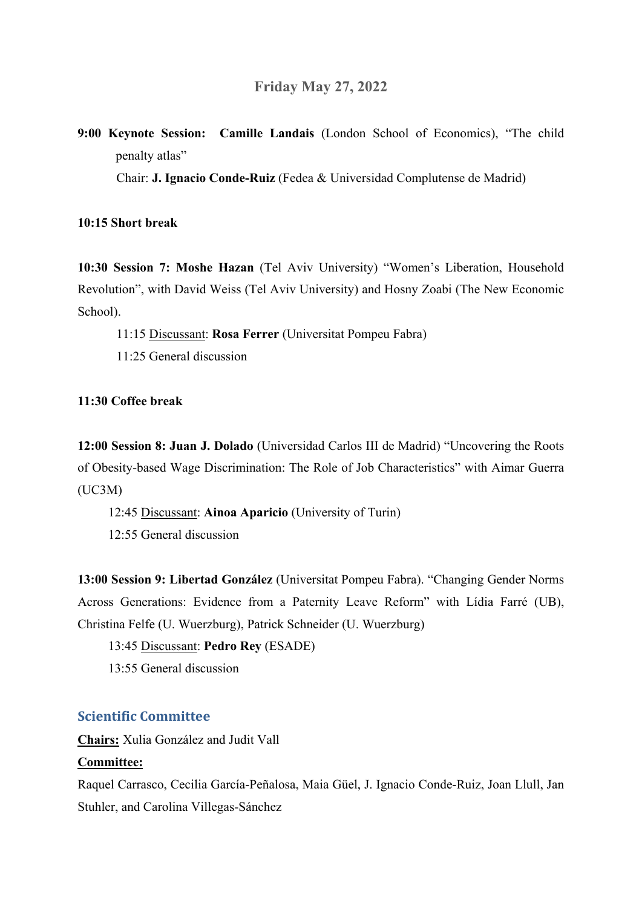**9:00 Keynote Session: Camille Landais** (London School of Economics), "The child penalty atlas"

Chair: **J. Ignacio Conde-Ruiz** (Fedea & Universidad Complutense de Madrid)

#### **10:15 Short break**

**10:30 Session 7: Moshe Hazan** (Tel Aviv University) "Women's Liberation, Household Revolution", with David Weiss (Tel Aviv University) and Hosny Zoabi (The New Economic School).

- 11:15 Discussant: **Rosa Ferrer** (Universitat Pompeu Fabra)
- 11:25 General discussion

#### **11:30 Coffee break**

**12:00 Session 8: Juan J. Dolado** (Universidad Carlos III de Madrid) "Uncovering the Roots of Obesity-based Wage Discrimination: The Role of Job Characteristics" with Aimar Guerra (UC3M)

12:45 Discussant: **Ainoa Aparicio** (University of Turin)

12:55 General discussion

**13:00 Session 9: Libertad González** (Universitat Pompeu Fabra). "Changing Gender Norms Across Generations: Evidence from a Paternity Leave Reform" with Lídia Farré (UB), Christina Felfe (U. Wuerzburg), Patrick Schneider (U. Wuerzburg)

13:45 Discussant: **Pedro Rey** (ESADE)

13:55 General discussion

## **Scientific Committee**

**Chairs:** Xulia González and Judit Vall

## **Committee:**

Raquel Carrasco, Cecilia García-Peñalosa, Maia Güel, J. Ignacio Conde-Ruiz, Joan Llull, Jan Stuhler, and Carolina Villegas-Sánchez